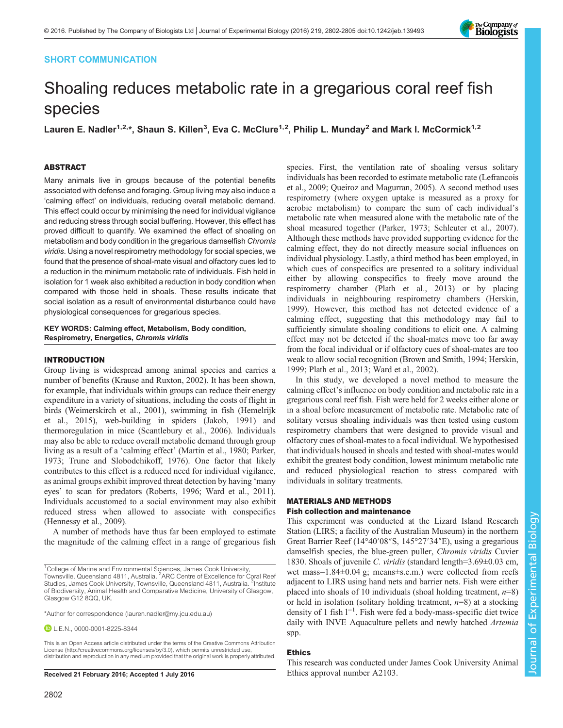# SHORT COMMUNICATION



# Shoaling reduces metabolic rate in a gregarious coral reef fish species

Lauren E. Nadler<sup>1,2,\*</sup>, Shaun S. Killen<sup>3</sup>, Eva C. McClure<sup>1,2</sup>, Philip L. Munday<sup>2</sup> and Mark I. McCormick<sup>1,2</sup>

# ABSTRACT

Many animals live in groups because of the potential benefits associated with defense and foraging. Group living may also induce a 'calming effect' on individuals, reducing overall metabolic demand. This effect could occur by minimising the need for individual vigilance and reducing stress through social buffering. However, this effect has proved difficult to quantify. We examined the effect of shoaling on metabolism and body condition in the gregarious damselfish Chromis viridis. Using a novel respirometry methodology for social species, we found that the presence of shoal-mate visual and olfactory cues led to a reduction in the minimum metabolic rate of individuals. Fish held in isolation for 1 week also exhibited a reduction in body condition when compared with those held in shoals. These results indicate that social isolation as a result of environmental disturbance could have physiological consequences for gregarious species.

#### KEY WORDS: Calming effect, Metabolism, Body condition, Respirometry, Energetics, Chromis viridis

## INTRODUCTION

Group living is widespread among animal species and carries a number of benefits ([Krause and Ruxton, 2002\)](#page-3-0). It has been shown, for example, that individuals within groups can reduce their energy expenditure in a variety of situations, including the costs of flight in birds ([Weimerskirch et al., 2001\)](#page-3-0), swimming in fish ([Hemelrijk](#page-3-0) [et al., 2015\)](#page-3-0), web-building in spiders [\(Jakob, 1991](#page-3-0)) and thermoregulation in mice [\(Scantlebury et al., 2006\)](#page-3-0). Individuals may also be able to reduce overall metabolic demand through group living as a result of a 'calming effect' [\(Martin et al., 1980](#page-3-0); [Parker,](#page-3-0) [1973](#page-3-0); [Trune and Slobodchikoff, 1976](#page-3-0)). One factor that likely contributes to this effect is a reduced need for individual vigilance, as animal groups exhibit improved threat detection by having 'many eyes' to scan for predators ([Roberts, 1996; Ward et al., 2011\)](#page-3-0). Individuals accustomed to a social environment may also exhibit reduced stress when allowed to associate with conspecifics [\(Hennessy et al., 2009\)](#page-3-0).

A number of methods have thus far been employed to estimate the magnitude of the calming effect in a range of gregarious fish

**D** L.E.N., [0000-0001-8225-8344](http://orcid.org/0000-0001-8225-8344)

This is an Open Access article distributed under the terms of the Creative Commons Attribution License [\(http://creativecommons.org/licenses/by/3.0\)](http://creativecommons.org/licenses/by/3.0), which permits unrestricted use, distribution and reproduction in any medium provided that the original work is properly attributed.

species. First, the ventilation rate of shoaling versus solitary individuals has been recorded to estimate metabolic rate [\(Lefrancois](#page-3-0) [et al., 2009; Queiroz and Magurran, 2005\)](#page-3-0). A second method uses respirometry (where oxygen uptake is measured as a proxy for aerobic metabolism) to compare the sum of each individual's metabolic rate when measured alone with the metabolic rate of the shoal measured together [\(Parker, 1973](#page-3-0); [Schleuter et al., 2007\)](#page-3-0). Although these methods have provided supporting evidence for the calming effect, they do not directly measure social influences on individual physiology. Lastly, a third method has been employed, in which cues of conspecifics are presented to a solitary individual either by allowing conspecifics to freely move around the respirometry chamber [\(Plath et al., 2013\)](#page-3-0) or by placing individuals in neighbouring respirometry chambers ([Herskin,](#page-3-0) [1999\)](#page-3-0). However, this method has not detected evidence of a calming effect, suggesting that this methodology may fail to sufficiently simulate shoaling conditions to elicit one. A calming effect may not be detected if the shoal-mates move too far away from the focal individual or if olfactory cues of shoal-mates are too weak to allow social recognition ([Brown and Smith, 1994](#page-3-0); [Herskin,](#page-3-0) [1999; Plath et al., 2013; Ward et al., 2002\)](#page-3-0).

In this study, we developed a novel method to measure the calming effect's influence on body condition and metabolic rate in a gregarious coral reef fish. Fish were held for 2 weeks either alone or in a shoal before measurement of metabolic rate. Metabolic rate of solitary versus shoaling individuals was then tested using custom respirometry chambers that were designed to provide visual and olfactory cues of shoal-mates to a focal individual. We hypothesised that individuals housed in shoals and tested with shoal-mates would exhibit the greatest body condition, lowest minimum metabolic rate and reduced physiological reaction to stress compared with individuals in solitary treatments.

# MATERIALS AND METHODS

## Fish collection and maintenance

This experiment was conducted at the Lizard Island Research Station (LIRS; a facility of the Australian Museum) in the northern Great Barrier Reef (14°40′08″S, 145°27′34″E), using a gregarious damselfish species, the blue-green puller, Chromis viridis Cuvier 1830. Shoals of juvenile C. viridis (standard length=3.69±0.03 cm, wet mass=1.84±0.04 g; means±s.e.m.) were collected from reefs adjacent to LIRS using hand nets and barrier nets. Fish were either placed into shoals of 10 individuals (shoal holding treatment,  $n=8$ ) or held in isolation (solitary holding treatment,  $n=8$ ) at a stocking density of 1 fish l−<sup>1</sup> . Fish were fed a body-mass-specific diet twice daily with INVE Aquaculture pellets and newly hatched Artemia spp.

# Ethics

This research was conducted under James Cook University Animal Received 21 February 2016; Accepted 1 July 2016 Ethics approval number A2103.

<sup>&</sup>lt;sup>1</sup>College of Marine and Environmental Sciences, James Cook University,<br>Townsville, Queensland 4811, Australia. <sup>2</sup>ARC Centre of Excellence for Coral Reef Studies, James Cook University, Townsville, Queensland 4811, Australia. <sup>3</sup>Institute of Biodiversity, Animal Health and Comparative Medicine, University of Glasgow, Glasgow G12 8QQ, UK.

<sup>\*</sup>Author for correspondence [\(lauren.nadler@my.jcu.edu.au](mailto:lauren.nadler@my.jcu.edu.au))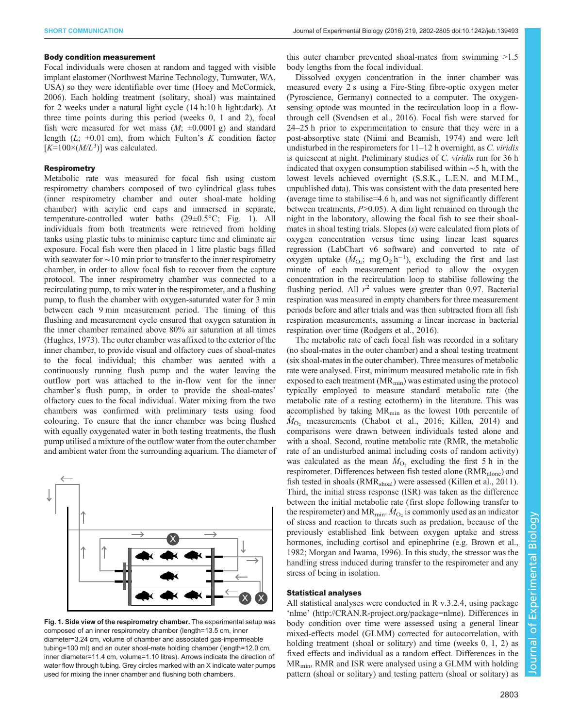## Body condition measurement

Focal individuals were chosen at random and tagged with visible implant elastomer (Northwest Marine Technology, Tumwater, WA, USA) so they were identifiable over time [\(Hoey and McCormick,](#page-3-0) [2006](#page-3-0)). Each holding treatment (solitary, shoal) was maintained for 2 weeks under a natural light cycle (14 h:10 h light:dark). At three time points during this period (weeks 0, 1 and 2), focal fish were measured for wet mass  $(M; \pm 0.0001 \text{ g})$  and standard length  $(L; \pm 0.01 \text{ cm})$ , from which Fulton's K condition factor  $[K=100 \times (M/L^3)]$  was calculated.

# **Respirometry**

Metabolic rate was measured for focal fish using custom respirometry chambers composed of two cylindrical glass tubes (inner respirometry chamber and outer shoal-mate holding chamber) with acrylic end caps and immersed in separate, temperature-controlled water baths (29±0.5°C; Fig. 1). All individuals from both treatments were retrieved from holding tanks using plastic tubs to minimise capture time and eliminate air exposure. Focal fish were then placed in 1 litre plastic bags filled with seawater for ∼10 min prior to transfer to the inner respirometry chamber, in order to allow focal fish to recover from the capture protocol. The inner respirometry chamber was connected to a recirculating pump, to mix water in the respirometer, and a flushing pump, to flush the chamber with oxygen-saturated water for 3 min between each 9 min measurement period. The timing of this flushing and measurement cycle ensured that oxygen saturation in the inner chamber remained above 80% air saturation at all times [\(Hughes, 1973](#page-3-0)). The outer chamber was affixed to the exterior of the inner chamber, to provide visual and olfactory cues of shoal-mates to the focal individual; this chamber was aerated with a continuously running flush pump and the water leaving the outflow port was attached to the in-flow vent for the inner chamber's flush pump, in order to provide the shoal-mates' olfactory cues to the focal individual. Water mixing from the two chambers was confirmed with preliminary tests using food colouring. To ensure that the inner chamber was being flushed with equally oxygenated water in both testing treatments, the flush pump utilised a mixture of the outflow water from the outer chamber and ambient water from the surrounding aquarium. The diameter of



Fig. 1. Side view of the respirometry chamber. The experimental setup was composed of an inner respirometry chamber (length=13.5 cm, inner diameter=3.24 cm, volume of chamber and associated gas-impermeable tubing=100 ml) and an outer shoal-mate holding chamber (length=12.0 cm, inner diameter=11.4 cm, volume=1.10 litres). Arrows indicate the direction of water flow through tubing. Grey circles marked with an X indicate water pumps used for mixing the inner chamber and flushing both chambers.

this outer chamber prevented shoal-mates from swimming >1.5 body lengths from the focal individual.

Dissolved oxygen concentration in the inner chamber was measured every 2 s using a Fire-Sting fibre-optic oxygen meter (Pyroscience, Germany) connected to a computer. The oxygensensing optode was mounted in the recirculation loop in a flowthrough cell [\(Svendsen et al., 2016\)](#page-3-0). Focal fish were starved for 24–25 h prior to experimentation to ensure that they were in a post-absorptive state ([Niimi and Beamish, 1974\)](#page-3-0) and were left undisturbed in the respirometers for  $11-12$  h overnight, as C. viridis is quiescent at night. Preliminary studies of C. viridis run for 36 h indicated that oxygen consumption stabilised within ∼5 h, with the lowest levels achieved overnight (S.S.K., L.E.N. and M.I.M., unpublished data). This was consistent with the data presented here (average time to stabilise=4.6 h, and was not significantly different between treatments,  $P > 0.05$ ). A dim light remained on through the night in the laboratory, allowing the focal fish to see their shoalmates in shoal testing trials. Slopes  $(s)$  were calculated from plots of oxygen concentration versus time using linear least squares regression (LabChart v6 software) and converted to rate of oxygen uptake  $(M_{\text{O}_2}; \text{ mg O}_2 \text{ h}^{-1})$ , excluding the first and last minute of each measurement period to allow the oxygen concentration in the recirculation loop to stabilise following the flushing period. All  $r^2$  values were greater than 0.97. Bacterial respiration was measured in empty chambers for three measurement periods before and after trials and was then subtracted from all fish respiration measurements, assuming a linear increase in bacterial respiration over time ([Rodgers et al., 2016](#page-3-0)).

The metabolic rate of each focal fish was recorded in a solitary (no shoal-mates in the outer chamber) and a shoal testing treatment (six shoal-mates in the outer chamber). Three measures of metabolic rate were analysed. First, minimum measured metabolic rate in fish exposed to each treatment  $(MR_{min})$  was estimated using the protocol typically employed to measure standard metabolic rate (the metabolic rate of a resting ectotherm) in the literature. This was accomplished by taking MR<sub>min</sub> as the lowest 10th percentile of  $M_{\text{O}_2}$  measurements ([Chabot et al., 2016; Killen, 2014\)](#page-3-0) and comparisons were drawn between individuals tested alone and with a shoal. Second, routine metabolic rate (RMR, the metabolic rate of an undisturbed animal including costs of random activity) was calculated as the mean  $\dot{M}_{O_2}$  excluding the first 5 h in the respirometer. Differences between fish tested alone (RMR<sub>alone</sub>) and fish tested in shoals (RMR<sub>shoal</sub>) were assessed ([Killen et al., 2011\)](#page-3-0). Third, the initial stress response (ISR) was taken as the difference between the initial metabolic rate (first slope following transfer to the respirometer) and  $MR_{min}$ .  $\dot{M}_{O_2}$  is commonly used as an indicator of stress and reaction to threats such as predation, because of the previously established link between oxygen uptake and stress hormones, including cortisol and epinephrine (e.g. [Brown et al.,](#page-3-0) [1982; Morgan and Iwama, 1996](#page-3-0)). In this study, the stressor was the handling stress induced during transfer to the respirometer and any stress of being in isolation.

## Statistical analyses

All statistical analyses were conducted in R v.3.2.4, using package 'nlme' [\(http://CRAN.R-project.org/package=nlme](http://CRAN.R-project.org/package=nlme)). Differences in body condition over time were assessed using a general linear mixed-effects model (GLMM) corrected for autocorrelation, with holding treatment (shoal or solitary) and time (weeks 0, 1, 2) as fixed effects and individual as a random effect. Differences in the  $MR<sub>min</sub>$ , RMR and ISR were analysed using a GLMM with holding pattern (shoal or solitary) and testing pattern (shoal or solitary) as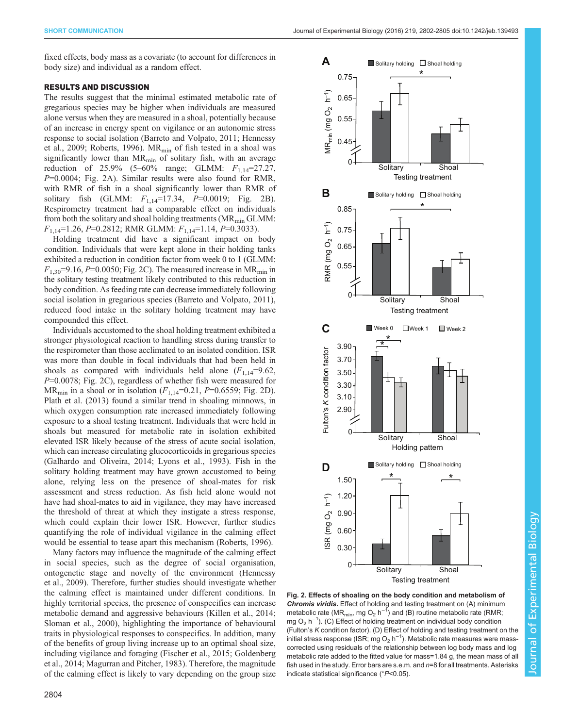fixed effects, body mass as a covariate (to account for differences in body size) and individual as a random effect.

## RESULTS AND DISCUSSION

The results suggest that the minimal estimated metabolic rate of gregarious species may be higher when individuals are measured alone versus when they are measured in a shoal, potentially because of an increase in energy spent on vigilance or an autonomic stress response to social isolation ([Barreto and Volpato, 2011](#page-3-0); [Hennessy](#page-3-0) [et al., 2009](#page-3-0); [Roberts, 1996](#page-3-0)).  $MR_{min}$  of fish tested in a shoal was significantly lower than  $MR_{min}$  of solitary fish, with an average reduction of 25.9% (5–60% range; GLMM:  $F_{1,14}$ =27.27,  $P=0.0004$ ; Fig. 2A). Similar results were also found for RMR, with RMR of fish in a shoal significantly lower than RMR of solitary fish (GLMM:  $F_{1,14}$ =17.34,  $P=0.0019$ ; Fig. 2B). Respirometry treatment had a comparable effect on individuals from both the solitary and shoal holding treatments ( $MR_{min}$  GLMM:  $F_{1,14}=1.26, P=0.2812$ ; RMR GLMM:  $F_{1,14}=1.14, P=0.3033$ ).

Holding treatment did have a significant impact on body condition. Individuals that were kept alone in their holding tanks exhibited a reduction in condition factor from week 0 to 1 (GLMM:  $F_{1,30}$ =9.16, P=0.0050; Fig. 2C). The measured increase in MR<sub>min</sub> in the solitary testing treatment likely contributed to this reduction in body condition. As feeding rate can decrease immediately following social isolation in gregarious species [\(Barreto and Volpato, 2011\)](#page-3-0), reduced food intake in the solitary holding treatment may have compounded this effect.

Individuals accustomed to the shoal holding treatment exhibited a stronger physiological reaction to handling stress during transfer to the respirometer than those acclimated to an isolated condition. ISR was more than double in focal individuals that had been held in shoals as compared with individuals held alone  $(F_{1,14}=9.62)$ ,  $P=0.0078$ ; Fig. 2C), regardless of whether fish were measured for  $MR_{min}$  in a shoal or in isolation ( $F_{1,14}$ =0.21,  $P$ =0.6559; Fig. 2D). [Plath et al. \(2013\)](#page-3-0) found a similar trend in shoaling minnows, in which oxygen consumption rate increased immediately following exposure to a shoal testing treatment. Individuals that were held in shoals but measured for metabolic rate in isolation exhibited elevated ISR likely because of the stress of acute social isolation, which can increase circulating glucocorticoids in gregarious species [\(Galhardo and Oliveira, 2014; Lyons et al., 1993](#page-3-0)). Fish in the solitary holding treatment may have grown accustomed to being alone, relying less on the presence of shoal-mates for risk assessment and stress reduction. As fish held alone would not have had shoal-mates to aid in vigilance, they may have increased the threshold of threat at which they instigate a stress response, which could explain their lower ISR. However, further studies quantifying the role of individual vigilance in the calming effect would be essential to tease apart this mechanism ([Roberts, 1996\)](#page-3-0).

Many factors may influence the magnitude of the calming effect in social species, such as the degree of social organisation, ontogenetic stage and novelty of the environment [\(Hennessy](#page-3-0) [et al., 2009](#page-3-0)). Therefore, further studies should investigate whether the calming effect is maintained under different conditions. In highly territorial species, the presence of conspecifics can increase metabolic demand and aggressive behaviours ([Killen et al., 2014](#page-3-0); [Sloman et al., 2000\)](#page-3-0), highlighting the importance of behavioural traits in physiological responses to conspecifics. In addition, many of the benefits of group living increase up to an optimal shoal size, including vigilance and foraging [\(Fischer et al., 2015](#page-3-0); [Goldenberg](#page-3-0) [et al., 2014](#page-3-0); [Magurran and Pitcher, 1983](#page-3-0)). Therefore, the magnitude of the calming effect is likely to vary depending on the group size





Fig. 2. Effects of shoaling on the body condition and metabolism of Chromis viridis. Effect of holding and testing treatment on (A) minimum metabolic rate (MR<sub>min</sub>, mg O<sub>2</sub> h<sup>-1</sup>) and (B) routine metabolic rate (RMR; mg O<sub>2</sub> h<sup>-1</sup>). (C) Effect of holding treatment on individual body condition (Fulton's K condition factor). (D) Effect of holding and testing treatment on the initial stress response (ISR; mg O<sub>2</sub> h<sup>-1</sup>). Metabolic rate measures were masscorrected using residuals of the relationship between log body mass and log metabolic rate added to the fitted value for mass=1.84 g, the mean mass of all fish used in the study. Error bars are s.e.m. and  $n=8$  for all treatments. Asterisks indicate statistical significance (\*P<0.05).